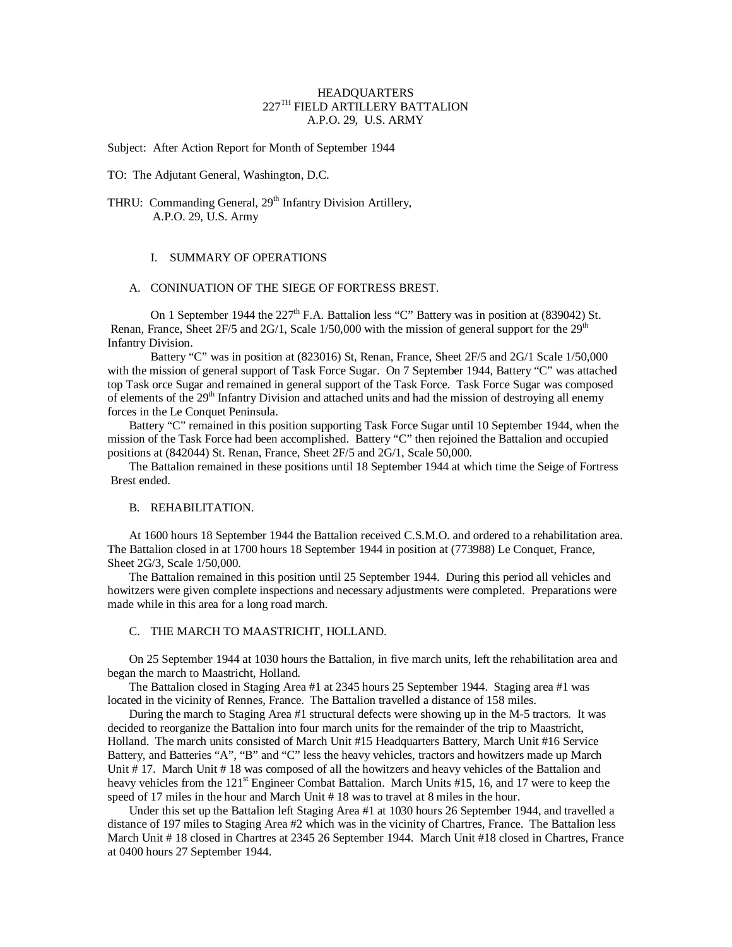## **HEADQUARTERS** 227TH FIELD ARTILLERY BATTALION A.P.O. 29, U.S. ARMY

Subject: After Action Report for Month of September 1944

TO: The Adjutant General, Washington, D.C.

# THRU: Commanding General, 29<sup>th</sup> Infantry Division Artillery, A.P.O. 29, U.S. Army

## I. SUMMARY OF OPERATIONS

### A. CONINUATION OF THE SIEGE OF FORTRESS BREST.

On 1 September 1944 the  $227<sup>th</sup>$  F.A. Battalion less "C" Battery was in position at (839042) St. Renan, France, Sheet  $2F/5$  and  $2G/1$ , Scale  $1/50,000$  with the mission of general support for the  $29<sup>th</sup>$ Infantry Division.

Battery "C" was in position at (823016) St, Renan, France, Sheet 2F/5 and 2G/1 Scale 1/50,000 with the mission of general support of Task Force Sugar. On 7 September 1944, Battery "C" was attached top Task orce Sugar and remained in general support of the Task Force. Task Force Sugar was composed of elements of the  $29<sup>th</sup>$  Infantry Division and attached units and had the mission of destroying all enemy forces in the Le Conquet Peninsula.

Battery "C" remained in this position supporting Task Force Sugar until 10 September 1944, when the mission of the Task Force had been accomplished. Battery "C" then rejoined the Battalion and occupied positions at (842044) St. Renan, France, Sheet 2F/5 and 2G/1, Scale 50,000.

The Battalion remained in these positions until 18 September 1944 at which time the Seige of Fortress Brest ended.

#### B. REHABILITATION.

At 1600 hours 18 September 1944 the Battalion received C.S.M.O. and ordered to a rehabilitation area. The Battalion closed in at 1700 hours 18 September 1944 in position at (773988) Le Conquet, France, Sheet 2G/3, Scale 1/50,000.

The Battalion remained in this position until 25 September 1944. During this period all vehicles and howitzers were given complete inspections and necessary adjustments were completed. Preparations were made while in this area for a long road march.

# C. THE MARCH TO MAASTRICHT, HOLLAND.

On 25 September 1944 at 1030 hours the Battalion, in five march units, left the rehabilitation area and began the march to Maastricht, Holland.

The Battalion closed in Staging Area #1 at 2345 hours 25 September 1944. Staging area #1 was located in the vicinity of Rennes, France. The Battalion travelled a distance of 158 miles.

During the march to Staging Area #1 structural defects were showing up in the M-5 tractors. It was decided to reorganize the Battalion into four march units for the remainder of the trip to Maastricht, Holland. The march units consisted of March Unit #15 Headquarters Battery, March Unit #16 Service Battery, and Batteries "A", "B" and "C" less the heavy vehicles, tractors and howitzers made up March Unit # 17. March Unit # 18 was composed of all the howitzers and heavy vehicles of the Battalion and heavy vehicles from the 121<sup>st</sup> Engineer Combat Battalion. March Units #15, 16, and 17 were to keep the speed of 17 miles in the hour and March Unit # 18 was to travel at 8 miles in the hour.

Under this set up the Battalion left Staging Area #1 at 1030 hours 26 September 1944, and travelled a distance of 197 miles to Staging Area #2 which was in the vicinity of Chartres, France. The Battalion less March Unit # 18 closed in Chartres at 2345 26 September 1944. March Unit #18 closed in Chartres, France at 0400 hours 27 September 1944.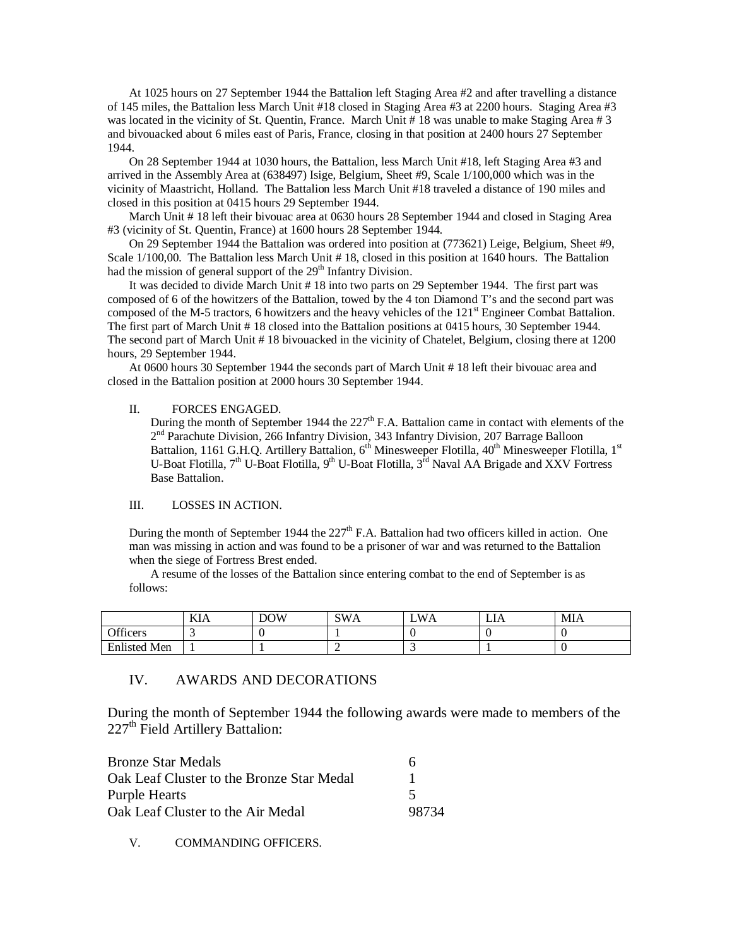At 1025 hours on 27 September 1944 the Battalion left Staging Area #2 and after travelling a distance of 145 miles, the Battalion less March Unit #18 closed in Staging Area #3 at 2200 hours. Staging Area #3 was located in the vicinity of St. Quentin, France. March Unit #18 was unable to make Staging Area #3 and bivouacked about 6 miles east of Paris, France, closing in that position at 2400 hours 27 September 1944.

On 28 September 1944 at 1030 hours, the Battalion, less March Unit #18, left Staging Area #3 and arrived in the Assembly Area at (638497) Isige, Belgium, Sheet #9, Scale 1/100,000 which was in the vicinity of Maastricht, Holland. The Battalion less March Unit #18 traveled a distance of 190 miles and closed in this position at 0415 hours 29 September 1944.

March Unit # 18 left their bivouac area at 0630 hours 28 September 1944 and closed in Staging Area #3 (vicinity of St. Quentin, France) at 1600 hours 28 September 1944.

On 29 September 1944 the Battalion was ordered into position at (773621) Leige, Belgium, Sheet #9, Scale  $1/100,00$ . The Battalion less March Unit # 18, closed in this position at 1640 hours. The Battalion had the mission of general support of the  $29<sup>th</sup>$  Infantry Division.

It was decided to divide March Unit # 18 into two parts on 29 September 1944. The first part was composed of 6 of the howitzers of the Battalion, towed by the 4 ton Diamond T's and the second part was composed of the M-5 tractors, 6 howitzers and the heavy vehicles of the  $121<sup>st</sup>$  Engineer Combat Battalion. The first part of March Unit # 18 closed into the Battalion positions at 0415 hours, 30 September 1944. The second part of March Unit # 18 bivouacked in the vicinity of Chatelet, Belgium, closing there at 1200 hours, 29 September 1944.

At 0600 hours 30 September 1944 the seconds part of March Unit # 18 left their bivouac area and closed in the Battalion position at 2000 hours 30 September 1944.

## II. FORCES ENGAGED.

During the month of September 1944 the  $227<sup>th</sup>$  F.A. Battalion came in contact with elements of the 2<sup>nd</sup> Parachute Division, 266 Infantry Division, 343 Infantry Division, 207 Barrage Balloon Battalion, 1161 G.H.Q. Artillery Battalion, 6<sup>th</sup> Minesweeper Flotilla, 40<sup>th</sup> Minesweeper Flotilla, 1<sup>st</sup> U-Boat Flotilla,  $7<sup>th</sup>$  U-Boat Flotilla,  $9<sup>th</sup>$  U-Boat Flotilla,  $3<sup>rd</sup>$  Naval AA Brigade and XXV Fortress Base Battalion.

## III. LOSSES IN ACTION.

During the month of September 1944 the  $227<sup>th</sup>$  F.A. Battalion had two officers killed in action. One man was missing in action and was found to be a prisoner of war and was returned to the Battalion when the siege of Fortress Brest ended.

A resume of the losses of the Battalion since entering combat to the end of September is as follows:

|                     | TZT 1<br>KІA | <b>DOW</b> | SWA | LWA | LIA | MIA |
|---------------------|--------------|------------|-----|-----|-----|-----|
| Officers            |              |            |     |     |     |     |
| <b>Enlisted Men</b> |              |            |     |     |     |     |

# IV. AWARDS AND DECORATIONS

During the month of September 1944 the following awards were made to members of the 227<sup>th</sup> Field Artillery Battalion:

| <b>Bronze Star Medals</b>                 | h     |
|-------------------------------------------|-------|
| Oak Leaf Cluster to the Bronze Star Medal |       |
| <b>Purple Hearts</b>                      |       |
| Oak Leaf Cluster to the Air Medal         | 98734 |

V. COMMANDING OFFICERS.